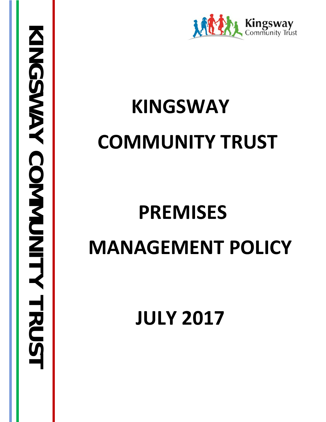

# **KINGSWAY COMMUNITY TRUST**

# **PREMISES MANAGEMENT POLICY**

**JULY 2017**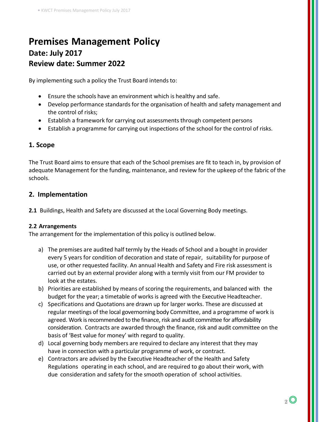# **Premises Management Policy Date: July 2017 Review date: Summer 2022**

By implementing such a policy the Trust Board intends to:

- Ensure the schools have an environment which is healthy and safe.
- Develop performance standards for the organisation of health and safety management and the control of risks;
- Establish a framework for carrying out assessments through competent persons
- Establish a programme for carrying out inspections of the school for the control of risks.

# **1. Scope**

The Trust Board aims to ensure that each of the School premises are fit to teach in, by provision of adequate Management for the funding, maintenance, and review for the upkeep of the fabric of the schools.

# **2. Implementation**

**2.1** Buildings, Health and Safety are discussed at the Local Governing Body meetings.

# **2.2 Arrangements**

The arrangement for the implementation of this policy is outlined below.

- a) The premises are audited half termly by the Heads of School and a bought in provider every 5 years for condition of decoration and state of repair, suitability for purpose of use, or other requested facility. An annual Health and Safety and Fire risk assessment is carried out by an external provider along with a termly visit from our FM provider to look at the estates.
- b) Priorities are established by means of scoring the requirements, and balanced with the budget for the year; a timetable of worksis agreed with the Executive Headteacher.
- c) Specifications and Quotations are drawn up for larger works. These are discussed at regular meetings of the local governorning body Committee, and a programme of work is agreed. Work is recommended to the finance, risk and audit committee for affordability consideration. Contracts are awarded through the finance, risk and audit committee on the basis of 'Best value for money' with regard to quality.
- d) Local governing body members are required to declare any interest that they may have in connection with a particular programme of work, or contract.
- e) Contractors are advised by the Executive Headteacher of the Health and Safety Regulations operating in each school, and are required to go about their work, with due consideration and safety for the smooth operation of school activities.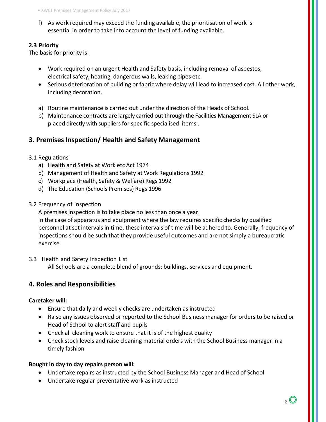f) As work required may exceed the funding available, the prioritisation of work is essential in order to take into account the level of funding available.

# **2.3 Priority**

The basis for priority is:

- Work required on an urgent Health and Safety basis, including removal of asbestos, electrical safety, heating, dangerous walls, leaking pipes etc.
- Serious deterioration of building or fabric where delay will lead to increased cost. All other work, including decoration.
- a) Routine maintenance is carried out under the direction of the Heads of School.
- b) Maintenance contracts are largely carried out through the Facilities Management SLA or placed directly with suppliers for specific specialised items.

# **3. Premises Inspection/ Health and Safety Management**

# 3.1 Regulations

- a) Health and Safety at Work etc Act 1974
- b) Management of Health and Safety at Work Regulations 1992
- c) Workplace (Health, Safety & Welfare) Regs 1992
- d) The Education (Schools Premises) Regs 1996
- 3.2 Frequency of Inspection

A premises inspection is to take place no less than once a year.

In the case of apparatus and equipment where the law requires specific checks by qualified personnel at set intervals in time, these intervals of time will be adhered to. Generally, frequency of inspections should be such that they provide useful outcomes and are not simply a bureaucratic exercise.

3.3 Health and Safety Inspection List

All Schools are a complete blend of grounds; buildings, services and equipment.

# **4. Roles and Responsibilities**

# **Caretaker will:**

- Ensure that daily and weekly checks are undertaken as instructed
- Raise any issues observed or reported to the School Business manager for orders to be raised or Head of School to alert staff and pupils
- Check all cleaning work to ensure that it is of the highest quality
- Check stock levels and raise cleaning material orders with the School Business manager in a timely fashion

# **Bought in day to day repairs person will:**

- Undertake repairs as instructed by the School Business Manager and Head of School
- Undertake regular preventative work as instructed